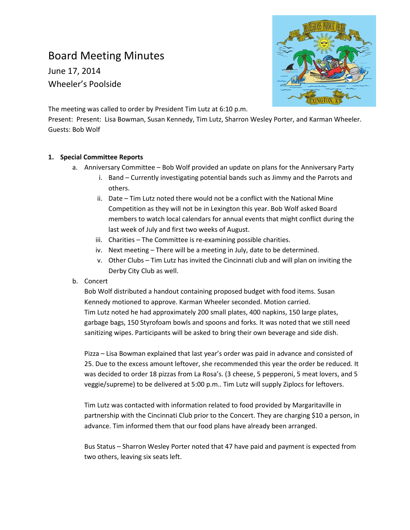# Board Meeting Minutes

June 17, 2014 Wheeler's Poolside



The meeting was called to order by President Tim Lutz at 6:10 p.m.

Present: Present: Lisa Bowman, Susan Kennedy, Tim Lutz, Sharron Wesley Porter, and Karman Wheeler. Guests: Bob Wolf

# **1. Special Committee Reports**

- a. Anniversary Committee Bob Wolf provided an update on plans for the Anniversary Party
	- i. Band Currently investigating potential bands such as Jimmy and the Parrots and others.
	- ii. Date Tim Lutz noted there would not be a conflict with the National Mine Competition as they will not be in Lexington this year. Bob Wolf asked Board members to watch local calendars for annual events that might conflict during the last week of July and first two weeks of August.
	- iii. Charities The Committee is re-examining possible charities.
	- iv. Next meeting There will be a meeting in July, date to be determined.
	- v. Other Clubs Tim Lutz has invited the Cincinnati club and will plan on inviting the Derby City Club as well.
- b. Concert

Bob Wolf distributed a handout containing proposed budget with food items. Susan Kennedy motioned to approve. Karman Wheeler seconded. Motion carried. Tim Lutz noted he had approximately 200 small plates, 400 napkins, 150 large plates, garbage bags, 150 Styrofoam bowls and spoons and forks. It was noted that we still need sanitizing wipes. Participants will be asked to bring their own beverage and side dish.

Pizza – Lisa Bowman explained that last year's order was paid in advance and consisted of 25. Due to the excess amount leftover, she recommended this year the order be reduced. It was decided to order 18 pizzas from La Rosa's. (3 cheese, 5 pepperoni, 5 meat lovers, and 5 veggie/supreme) to be delivered at 5:00 p.m.. Tim Lutz will supply Ziplocs for leftovers.

Tim Lutz was contacted with information related to food provided by Margaritaville in partnership with the Cincinnati Club prior to the Concert. They are charging \$10 a person, in advance. Tim informed them that our food plans have already been arranged.

Bus Status – Sharron Wesley Porter noted that 47 have paid and payment is expected from two others, leaving six seats left.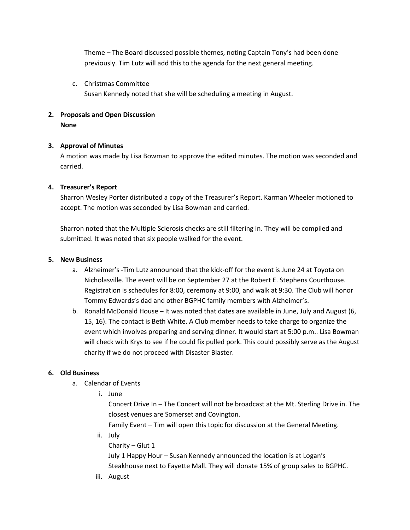Theme – The Board discussed possible themes, noting Captain Tony's had been done previously. Tim Lutz will add this to the agenda for the next general meeting.

### c. Christmas Committee

Susan Kennedy noted that she will be scheduling a meeting in August.

# **2. Proposals and Open Discussion**

**None**

#### **3. Approval of Minutes**

A motion was made by Lisa Bowman to approve the edited minutes. The motion was seconded and carried.

#### **4. Treasurer's Report**

Sharron Wesley Porter distributed a copy of the Treasurer's Report. Karman Wheeler motioned to accept. The motion was seconded by Lisa Bowman and carried.

Sharron noted that the Multiple Sclerosis checks are still filtering in. They will be compiled and submitted. It was noted that six people walked for the event.

#### **5. New Business**

- a. Alzheimer's -Tim Lutz announced that the kick-off for the event is June 24 at Toyota on Nicholasville. The event will be on September 27 at the Robert E. Stephens Courthouse. Registration is schedules for 8:00, ceremony at 9:00, and walk at 9:30. The Club will honor Tommy Edwards's dad and other BGPHC family members with Alzheimer's.
- b. Ronald McDonald House It was noted that dates are available in June, July and August (6, 15, 16). The contact is Beth White. A Club member needs to take charge to organize the event which involves preparing and serving dinner. It would start at 5:00 p.m.. Lisa Bowman will check with Krys to see if he could fix pulled pork. This could possibly serve as the August charity if we do not proceed with Disaster Blaster.

# **6. Old Business**

- a. Calendar of Events
	- i. June

Concert Drive In – The Concert will not be broadcast at the Mt. Sterling Drive in. The closest venues are Somerset and Covington.

Family Event – Tim will open this topic for discussion at the General Meeting.

ii. July

Charity – Glut 1

July 1 Happy Hour – Susan Kennedy announced the location is at Logan's Steakhouse next to Fayette Mall. They will donate 15% of group sales to BGPHC.

iii. August